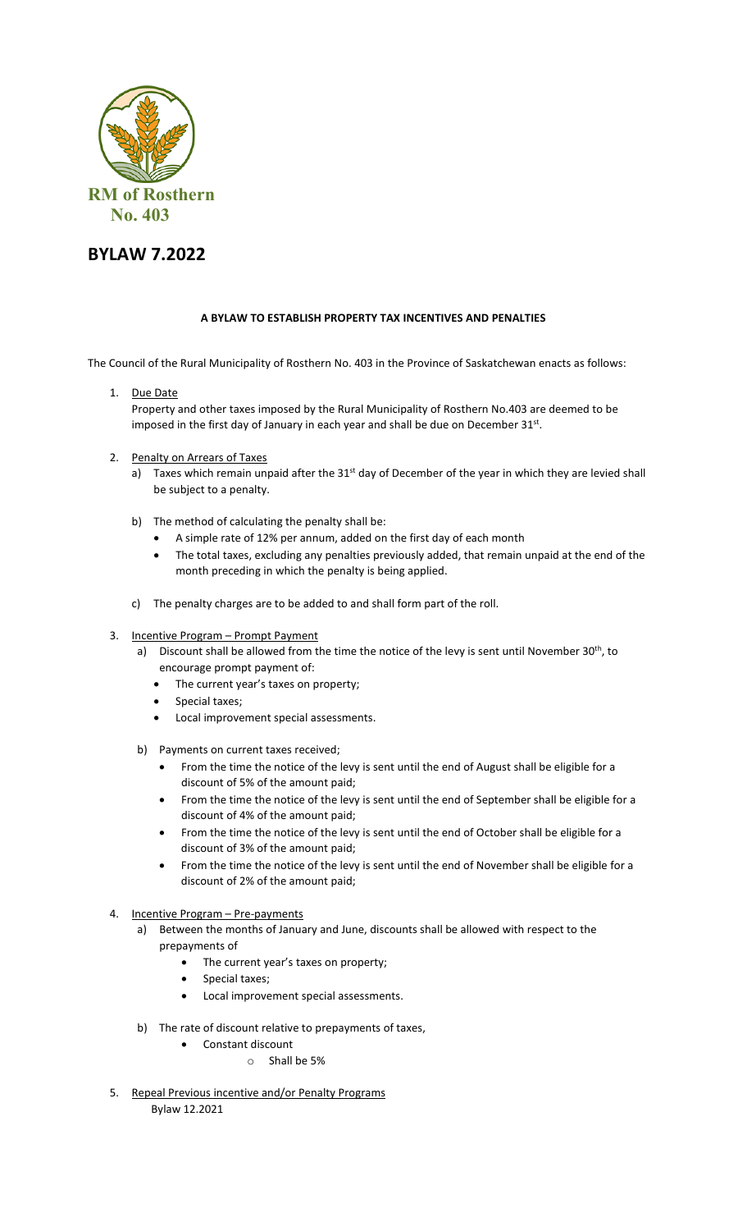

## **BYLAW 7.2022**

## **A BYLAW TO ESTABLISH PROPERTY TAX INCENTIVES AND PENALTIES**

The Council of the Rural Municipality of Rosthern No. 403 in the Province of Saskatchewan enacts as follows:

1. Due Date

Property and other taxes imposed by the Rural Municipality of Rosthern No.403 are deemed to be imposed in the first day of January in each year and shall be due on December 31st.

- 2. Penalty on Arrears of Taxes
	- a) Taxes which remain unpaid after the 31<sup>st</sup> day of December of the year in which they are levied shall be subject to a penalty.
	- b) The method of calculating the penalty shall be:
		- A simple rate of 12% per annum, added on the first day of each month
		- The total taxes, excluding any penalties previously added, that remain unpaid at the end of the month preceding in which the penalty is being applied.
	- c) The penalty charges are to be added to and shall form part of the roll.
- 3. Incentive Program Prompt Payment
	- a) Discount shall be allowed from the time the notice of the levy is sent until November 30<sup>th</sup>, to encourage prompt payment of:
		- The current year's taxes on property;
		- Special taxes;
		- Local improvement special assessments.
	- b) Payments on current taxes received;
		- From the time the notice of the levy is sent until the end of August shall be eligible for a discount of 5% of the amount paid;
		- From the time the notice of the levy is sent until the end of September shall be eligible for a discount of 4% of the amount paid;
		- From the time the notice of the levy is sent until the end of October shall be eligible for a discount of 3% of the amount paid;
		- From the time the notice of the levy is sent until the end of November shall be eligible for a discount of 2% of the amount paid;
- 4. Incentive Program Pre-payments
	- a) Between the months of January and June, discounts shall be allowed with respect to the prepayments of
		- The current year's taxes on property;
		- Special taxes;
		- Local improvement special assessments.
	- b) The rate of discount relative to prepayments of taxes,
		- Constant discount
			- o Shall be 5%
- 5. Repeal Previous incentive and/or Penalty Programs Bylaw 12.2021